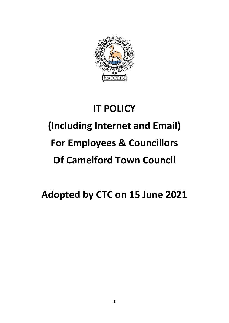

## **IT POLICY**

# **(Including Internet and Email)**

## **For Employees & Councillors**

## **Of Camelford Town Council**

## **Adopted by CTC on 15 June 2021**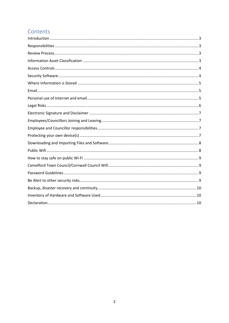## Contents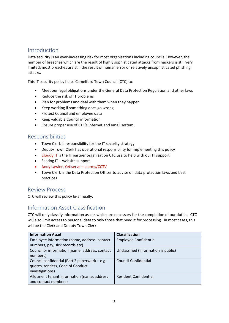#### <span id="page-2-0"></span>Introduction

Data security is an ever-increasing risk for most organisations including councils. However, the number of breaches which are the result of highly sophisticated attacks from hackers is still very limited; most breaches are still the result of human error or relatively unsophisticated phishing attacks.

This IT security policy helps Camelford Town Council (CTC) to:

- Meet our legal obligations under the General Data Protection Regulation and other laws
- Reduce the risk of IT problems
- Plan for problems and deal with them when they happen
- Keep working if something does go wrong
- Protect Council and employee data
- Keep valuable Council information
- Ensure proper use of CTC's internet and email system

#### <span id="page-2-1"></span>Responsibilities

- Town Clerk is responsibility for the IT security strategy
- Deputy Town Clerk has operational responsibility for implementing this policy
- Cloudy IT is the IT partner organisation CTC use to help with our IT support
- Seadog IT website support
- Andy Lawler, Yetiserve alarms/CCTV
- Town Clerk is the Data Protection Officer to advise on data protection laws and best practices

#### <span id="page-2-2"></span>Review Process

CTC will review this policy bi-annually.

#### <span id="page-2-3"></span>Information Asset Classification

CTC will only classify information assets which are necessary for the completion of our duties. CTC will also limit access to personal data to only those that need it for processing. In most cases, this will be the Clerk and Deputy Town Clerk.

| <b>Information Asset</b>                       | <b>Classification</b>                |
|------------------------------------------------|--------------------------------------|
| Employee information (name, address, contact   | <b>Employee Confidential</b>         |
| numbers, pay, sick records etc)                |                                      |
| Councillor information (name, address, contact | Unclassified (information is public) |
| numbers)                                       |                                      |
| Council confidential (Part 2 paperwork – e.g.  | <b>Council Confidential</b>          |
| quotes, tenders, Code of Conduct               |                                      |
| investigations)                                |                                      |
| Allotment tenant information (name, address    | <b>Resident Confidential</b>         |
| and contact numbers)                           |                                      |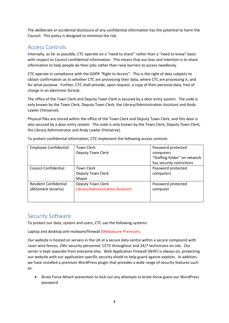The deliberate or accidental disclosure of any confidential information has the potential to harm the Council. This policy is designed to minimise the risk.

### <span id="page-3-0"></span>Access Controls

Internally, as far as possible, CTC operate on a "need to share" rather than a "need to know" basis with respect to Council confidential information. This means that our bias and intention is to share information to help people do their jobs rather than raise barriers to access needlessly.

CTC operate in compliance with the GDPR "Right to Access". This is the right of data subjects to obtain confirmation as to whether CTC are processing their data, where CTC are processing it, and for what purpose. Further, CTC shall provide, upon request, a copy of their personal data, free of charge in an electronic format.

The office of the Town Clerk and Deputy Town Clerk is secured by a door entry system. The code is only known by the Town Clerk, Deputy Town Clerk, the Library/Administration Assistant and Andy Lawler (Yetiserve).

Physical files are stored within the office of the Town Clerk and Deputy Town Clerk, and this door is also secured by a door entry system. The code is only known by the Town Clerk, Deputy Town Clerk, the Library Administrator and Andy Lawler (Yetiserve).

| <b>Employee Confidential</b> | <b>Town Clerk</b>                | Password protected           |
|------------------------------|----------------------------------|------------------------------|
|                              | Deputy Town Clerk                | computers                    |
|                              |                                  | "Staffing folder" on network |
|                              |                                  | has security restrictions    |
| Council Confidential         | <b>Town Clerk</b>                | Password protected           |
|                              | Deputy Town Clerk                | computers                    |
|                              | Mayor                            |                              |
| <b>Resident Confidential</b> | Deputy Town Clerk                | Password protected           |
| (Allotment tenants)          | Library/Administration Assistant | computer                     |
|                              |                                  |                              |
|                              |                                  |                              |

To protect confidential information, CTC implement the following access controls:

#### <span id="page-3-1"></span>Security Software

To protect our data, system and users, CTC use the following systems:

Laptop and desktop anti-malware/firewall (Websecure Premium).

Our website is hosted on servers in the UK at a secure data centre within a secure compound with razor-wire fences, 24hr security personnel, CCTC throughout and 24/7 technicians on site. Our server is kept separate from everyone else. Web Application Firewall (WAF) is always on, protecting our website with our application-specific security shield to help guard against exploits. In addition, we have installed a premium WordPress plugin that provides a wide range of security features such as:

• Brute Force Attach prevention to lock out any attempts to brute-force guess our WordPress password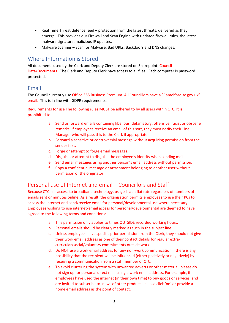- Real Time Threat defence feed protection from the latest threats, delivered as they emerge. This provides our Firewall and Scan Engine with updated firewall rules, the latest malware signature, malicious IP updates.
- Malware Scanner Scan for Malware, Bad URLs, Backdoors and DNS changes.

#### <span id="page-4-0"></span>Where Information is Stored

All documents used by the Clerk and Deputy Clerk are stored on Sharepoint: Council Data/Documents. The Clerk and Deputy Clerk have access to all files. Each computer is password protected.

#### <span id="page-4-1"></span>Email

The Council currently use Office 365 Business Premium. All Councillors have a "Camelford-tc.gov.uk" email. This is in line with GDPR requirements.

Requirements for use The following rules MUST be adhered to by all users within CTC. It is prohibited to:

- a. Send or forward emails containing libellous, defamatory, offensive, racist or obscene remarks. If employees receive an email of this sort, they must notify their Line Manager who will pass this to the Clerk if appropriate.
- b. Forward a sensitive or controversial message without acquiring permission from the sender first.
- c. Forge or attempt to forge email messages.
- d. Disguise or attempt to disguise the employee's identity when sending mail.
- e. Send email messages using another person's email address without permission.
- f. Copy a confidential message or attachment belonging to another user without permission of the originator.

## <span id="page-4-2"></span>Personal use of Internet and email – Councillors and Staff

Because CTC has access to broadband technology, usage is at a flat rate regardless of numbers of emails sent or minutes online. As a result, the organisation permits employees to use their PCs to access the internet and send/receive email for personal/developmental use where necessary. Employees wishing to use internet/email access for personal/developmental are deemed to have agreed to the following terms and conditions:

- a. This permission only applies to times OUTSIDE recorded working hours.
- b. Personal emails should be clearly marked as such in the subject line.
- c. Unless employees have specific prior permission from the Clerk, they should not give their work email address as one of their contact details for regular extracurricular/social/voluntary commitments outside work.
- d. Do NOT use a work email address for any non-work communication if there is any possibility that the recipient will be influenced (either positively or negatively) by receiving a communication from a staff member of CTC.
- e. To avoid cluttering the system with unwanted adverts or other material, please do not sign up for personal direct mail using a work email address. For example, if employees have used the internet (in their own time) to buy goods or services, and are invited to subscribe to 'news of other products' please click 'no' or provide a home email address as the point of contact.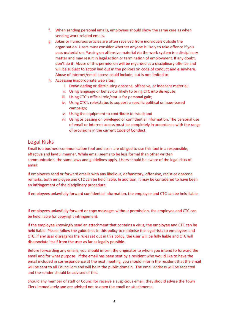- f. When sending personal emails, employees should show the same care as when sending work-related emails.
- g. Jokes or humorous articles are often received from individuals outside the organisation. Users must consider whether anyone is likely to take offence if you pass material on. Passing on offensive material via the work system is a disciplinary matter and may result in legal action or termination of employment. If any doubt, don't do it! Abuse of this permission will be regarded as a disciplinary offence and will be subject to action laid out in the policies on code of conduct and elsewhere. Abuse of Internet/email access could include, but is not limited to:
- h. Accessing inappropriate web sites;
	- i. Downloading or distributing obscene, offensive, or indecent material;
	- ii. Using language or behaviour likely to bring CTC into disrepute;
	- iii. Using CTC's official role/status for personal gain;
	- iv. Using CTC's role/status to support a specific political or issue-based campaign;
	- v. Using the equipment to contribute to fraud; and
	- vi. Using or passing on privileged or confidential information. The personal use of email or Internet access must be completely in accordance with the range of provisions in the current Code of Conduct.

#### <span id="page-5-0"></span>Legal Risks

Email is a business communication tool and users are obliged to use this tool in a responsible, effective and lawful manner. While email seems to be less formal than other written communication, the same laws and guidelines apply. Users should be aware of the legal risks of email:

If employees send or forward emails with any libellous, defamatory, offensive, racist or obscene remarks, both employee and CTC can be held liable. In addition, it may be considered to have been an infringement of the disciplinary procedure.

If employees unlawfully forward confidential information, the employee and CTC can be held liable.

If employees unlawfully forward or copy messages without permission, the employee and CTC can be held liable for copyright infringement.

If the employee knowingly send an attachment that contains a virus, the employee and CTC can be held liable. Please follow the guidelines in this policy to minimise the legal risks to employees and CTC. If any user disregards the rules set out in this policy, the user will be fully liable and CTC will disassociate itself from the user as far as legally possible.

Before forwarding any emails, you should inform the originator to whom you intend to forward the email and for what purpose. If the email has been sent by a resident who would like to have the email included in correspondence at the next meeting, you should inform the resident that the email will be sent to all Councillors and will be in the public domain. The email address will be redacted and the sender should be advised of this.

Should any member of staff or Councillor receive a suspicious email, they should advise the Town Clerk immediately and are advised not to open the email or attachments.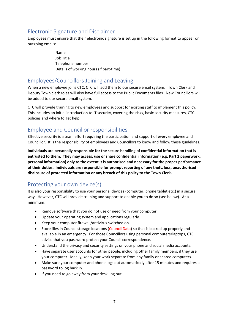### <span id="page-6-0"></span>Electronic Signature and Disclaimer

Employees must ensure that their electronic signature is set up in the following format to appear on outgoing emails:

> Name Job Title Telephone number Details of working hours (if part-time)

#### <span id="page-6-1"></span>Employees/Councillors Joining and Leaving

When a new employee joins CTC, CTC will add them to our secure email system. Town Clerk and Deputy Town clerk roles will also have full access to the Public Documents files. New Councillors will be added to our secure email system.

CTC will provide training to new employees and support for existing staff to implement this policy. This includes an initial introduction to IT security, covering the risks, basic security measures, CTC policies and where to get help.

## <span id="page-6-2"></span>Employee and Councillor responsibilities

Effective security is a team effort requiring the participation and support of every employee and Councillor. It is the responsibility of employees and Councillors to know and follow these guidelines.

**Individuals are personally responsible for the secure handling of confidential information that is entrusted to them. They may access, use or share confidential information (e.g. Part 2 paperwork, personal information) only to the extent it is authorised and necessary for the proper performance of their duties. Individuals are responsible for prompt reporting of any theft, loss, unauthorised disclosure of protected information or any breach of this policy to the Town Clerk.**

### <span id="page-6-3"></span>Protecting your own device(s)

It is also your responsibility to use your personal devices (computer, phone tablet etc.) in a secure way. However, CTC will provide training and support to enable you to do so (see below). At a minimum:

- Remove software that you do not use or need from your computer.
- Update your operating system and applications regularly.
- Keep your computer firewall/antivirus switched on.
- Store files in Council storage locations (Council Data) so that is backed up properly and available in an emergency. For those Councillors using personal computers/laptops, CTC advise that you password protect your Council correspondence.
- Understand the privacy and security settings on your phone and social media accounts.
- Have separate user accounts for other people, including other family members, if they use your computer. Ideally, keep your work separate from any family or shared computers.
- Make sure your computer and phone logs out automatically after 15 minutes and requires a password to log back in.
- If you need to go away from your desk, log out.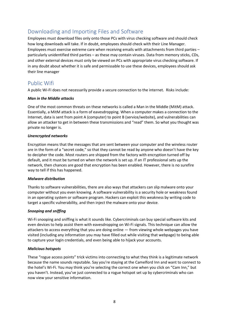## <span id="page-7-0"></span>Downloading and Importing Files and Software

Employees must download files only onto those PCs with virus checking software and should check how long downloads will take. If in doubt, employees should check with their Line Manager. Employees must exercise extreme care when receiving emails with attachments from third parties – particularly unidentified third parties – as these may contain viruses. Data from memory sticks, CDs, and other external devices must only be viewed on PCs with appropriate virus checking software. If in any doubt about whether it is safe and permissable to use these devices, employees should ask their line manager

## <span id="page-7-1"></span>Public Wifi

A public Wi-Fi does not necessarily provide a secure connection to the internet. Risks include:

#### *Man in the Middle attacks*

One of the most common threats on these networks is called a Man in the Middle (MitM) attack. Essentially, a MitM attack is a form of eavesdropping. When a computer makes a connection to the Internet, data is sent from point A (computer) to point B (service/website), and vulnerabilities can allow an attacker to get in between these transmissions and "read" them. So what you thought was private no longer is.

#### *Unencrypted networks*

Encryption means that the messages that are sent between your computer and the wireless router are in the form of a "secret code," so that they cannot be read by anyone who doesn't have the key to decipher the code. Most routers are shipped from the factory with encryption turned off by default, and it must be turned on when the network is set up. If an IT professional sets up the network, then chances are good that encryption has been enabled. However, there is no surefire way to tell if this has happened.

#### *Malware distribution*

Thanks to software vulnerabilities, there are also ways that attackers can slip malware onto your computer without you even knowing. A software vulnerability is a security hole or weakness found in an operating system or software program. Hackers can exploit this weakness by writing code to target a specific vulnerability, and then inject the malware onto your device.

#### *Snooping and sniffing*

Wi-Fi snooping and sniffing is what it sounds like. Cybercriminals can buy special software kits and even devices to help assist them with eavesdropping on Wi-Fi signals. This technique can allow the attackers to access everything that you are doing online — from viewing whole webpages you have visited (including any information you may have filled out while visiting that webpage) to being able to capture your login credentials, and even being able to hijack your accounts.

#### *Malicious hotspots*

These "rogue access points" trick victims into connecting to what they think is a legitimate network because the name sounds reputable. Say you're staying at the Camelford Inn and want to connect to the hotel's Wi-Fi. You may think you're selecting the correct one when you click on "Cam Inn," but you haven't. Instead, you've just connected to a rogue hotspot set up by cybercriminals who can now view your sensitive information.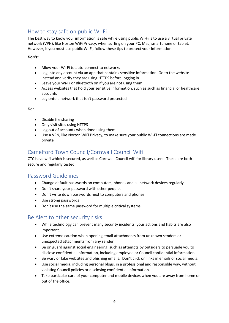## <span id="page-8-0"></span>How to stay safe on public Wi-Fi

The best way to know your information is safe while using public Wi-Fi is to use a virtual private network (VPN), like Norton WiFi Privacy, when surfing on your PC, Mac, smartphone or tablet. However, if you must use public Wi-Fi, follow these tips to protect your information.

#### *Don't:*

- Allow your Wi-Fi to auto-connect to networks
- Log into any account via an app that contains sensitive information. Go to the website instead and verify they are using HTTPS before logging in
- Leave your Wi-Fi or Bluetooth on if you are not using them
- Access websites that hold your sensitive information, such as such as financial or healthcare accounts
- Log onto a network that isn't password protected

*Do:*

- Disable file sharing
- Only visit sites using HTTPS
- Log out of accounts when done using them
- Use a VPN, like Norton WiFi Privacy, to make sure your public Wi-Fi connections are made private

## <span id="page-8-1"></span>Camelford Town Council/Cornwall Council Wifi

CTC have wifi which is secured, as well as Cornwall Council wifi for library users. These are both secure and regularly tested.

#### <span id="page-8-2"></span>Password Guidelines

- Change default passwords on computers, phones and all network devices regularly
- Don't share your password with other people.
- Don't write down passwords next to computers and phones
- Use strong passwords
- Don't use the same password for multiple critical systems

### <span id="page-8-3"></span>Be Alert to other security risks

- While technology can prevent many security incidents, your actions and habits are also important.
- Use extreme caution when opening email attachments from unknown senders or unexpected attachments from any sender.
- Be on guard against social engineering, such as attempts by outsiders to persuade you to disclose confidential information, including employee or Council confidential information.
- Be wary of fake websites and phishing emails. Don't click on links in emails or social media.
- Use social media, including personal blogs, in a professional and responsible way, without violating Council policies or disclosing confidential information.
- Take particular care of your computer and mobile devices when you are away from home or out of the office.